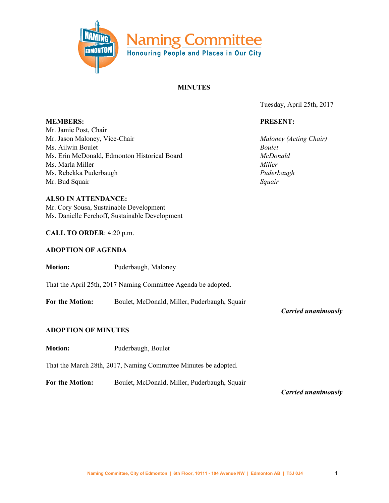

#### **MINUTES**

Tuesday, April 25th, 2017

#### **PRESENT:**

*Maloney (Acting Chair) Boulet McDonald Miller Puderbaugh Squair*

**MEMBERS:** Mr. Jamie Post, Chair Mr. Jason Maloney, Vice-Chair Ms. Ailwin Boulet Ms. Erin McDonald, Edmonton Historical Board Ms. Marla Miller Ms. Rebekka Puderbaugh Mr. Bud Squair

**ALSO IN ATTENDANCE:** Mr. Cory Sousa, Sustainable Development Ms. Danielle Ferchoff, Sustainable Development

#### **CALL TO ORDER**: 4:20 p.m.

#### **ADOPTION OF AGENDA**

**Motion:** Puderbaugh, Maloney

That the April 25th, 2017 Naming Committee Agenda be adopted.

**For the Motion:** Boulet, McDonald, Miller, Puderbaugh, Squair

*Carried unanimously*

### **ADOPTION OF MINUTES**

**Motion:** Puderbaugh, Boulet

That the March 28th, 2017, Naming Committee Minutes be adopted.

**For the Motion:** Boulet, McDonald, Miller, Puderbaugh, Squair

*Carried unanimously*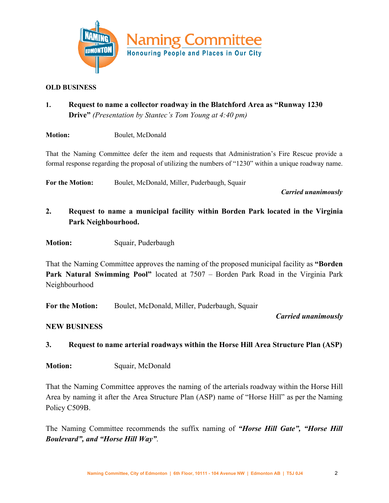

### **OLD BUSINESS**

**1. Request to name a collector roadway in the Blatchford Area as "Runway 1230 Drive"** *(Presentation by Stantec's Tom Young at 4:40 pm)*

**Motion:** Boulet, McDonald

That the Naming Committee defer the item and requests that Administration's Fire Rescue provide a formal response regarding the proposal of utilizing the numbers of "1230" within a unique roadway name.

**For the Motion:** Boulet, McDonald, Miller, Puderbaugh, Squair

*Carried unanimously*

- **2. Request to name a municipal facility within Borden Park located in the Virginia Park Neighbourhood.**
- **Motion:** Squair, Puderbaugh

That the Naming Committee approves the naming of the proposed municipal facility as **"Borden Park Natural Swimming Pool"** located at 7507 – Borden Park Road in the Virginia Park Neighbourhood

**For the Motion:** Boulet, McDonald, Miller, Puderbaugh, Squair

### *Carried unanimously*

### **NEW BUSINESS**

- **3. Request to name arterial roadways within the Horse Hill Area Structure Plan (ASP)**
- **Motion:** Squair, McDonald

That the Naming Committee approves the naming of the arterials roadway within the Horse Hill Area by naming it after the Area Structure Plan (ASP) name of "Horse Hill" as per the Naming Policy C509B.

The Naming Committee recommends the suffix naming of *"Horse Hill Gate", "Horse Hill Boulevard", and "Horse Hill Way"*.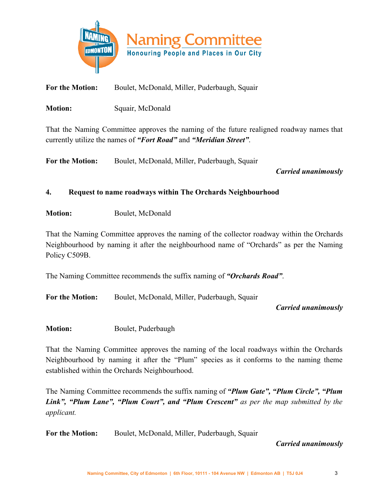

**For the Motion:** Boulet, McDonald, Miller, Puderbaugh, Squair

**Motion:** Squair, McDonald

That the Naming Committee approves the naming of the future realigned roadway names that currently utilize the names of *"Fort Road"* and *"Meridian Street"*.

**For the Motion:** Boulet, McDonald, Miller, Puderbaugh, Squair

*Carried unanimously*

# **4. Request to name roadways within The Orchards Neighbourhood**

**Motion:** Boulet, McDonald

That the Naming Committee approves the naming of the collector roadway within the Orchards Neighbourhood by naming it after the neighbourhood name of "Orchards" as per the Naming Policy C509B.

The Naming Committee recommends the suffix naming of *"Orchards Road"*.

**For the Motion:** Boulet, McDonald, Miller, Puderbaugh, Squair

*Carried unanimously*

**Motion:** Boulet, Puderbaugh

That the Naming Committee approves the naming of the local roadways within the Orchards Neighbourhood by naming it after the "Plum" species as it conforms to the naming theme established within the Orchards Neighbourhood.

The Naming Committee recommends the suffix naming of *"Plum Gate", "Plum Circle", "Plum Link", "Plum Lane", "Plum Court", and "Plum Crescent" as per the map submitted by the applicant.*

**For the Motion:** Boulet, McDonald, Miller, Puderbaugh, Squair

*Carried unanimously*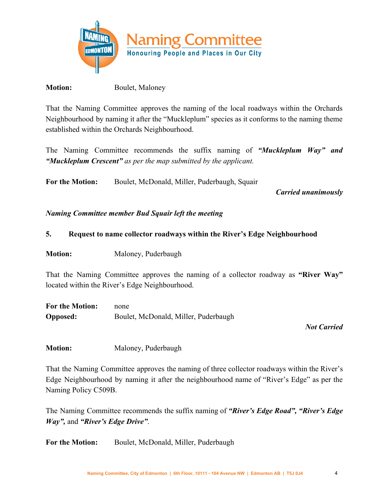

**Motion:** Boulet, Maloney

That the Naming Committee approves the naming of the local roadways within the Orchards Neighbourhood by naming it after the "Muckleplum" species as it conforms to the naming theme established within the Orchards Neighbourhood.

The Naming Committee recommends the suffix naming of *"Muckleplum Way" and "Muckleplum Crescent" as per the map submitted by the applicant.*

**For the Motion:** Boulet, McDonald, Miller, Puderbaugh, Squair

*Carried unanimously*

*Naming Committee member Bud Squair left the meeting*

### **5. Request to name collector roadways within the River's Edge Neighbourhood**

**Motion:** Maloney, Puderbaugh

That the Naming Committee approves the naming of a collector roadway as **"River Way"** located within the River's Edge Neighbourhood.

| <b>For the Motion:</b> | none                                 |
|------------------------|--------------------------------------|
| <b>Opposed:</b>        | Boulet, McDonald, Miller, Puderbaugh |

# *Not Carried*

**Motion:** Maloney, Puderbaugh

That the Naming Committee approves the naming of three collector roadways within the River's Edge Neighbourhood by naming it after the neighbourhood name of "River's Edge" as per the Naming Policy C509B.

The Naming Committee recommends the suffix naming of *"River's Edge Road", "River's Edge Way",* and *"River's Edge Drive"*.

**For the Motion:** Boulet, McDonald, Miller, Puderbaugh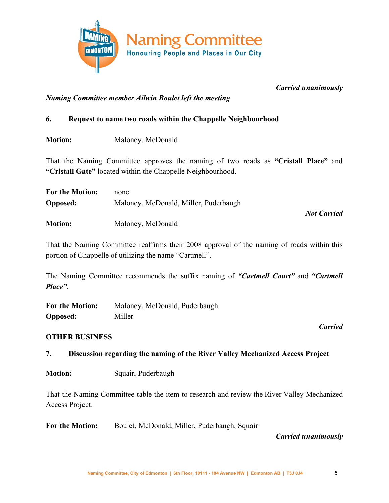

*Carried unanimously*

*Naming Committee member Ailwin Boulet left the meeting*

# **6. Request to name two roads within the Chappelle Neighbourhood**

**Motion:** Maloney, McDonald

That the Naming Committee approves the naming of two roads as **"Cristall Place"** and **"Cristall Gate"** located within the Chappelle Neighbourhood.

| <b>For the Motion:</b> | none                                  |                    |
|------------------------|---------------------------------------|--------------------|
| <b>Opposed:</b>        | Maloney, McDonald, Miller, Puderbaugh |                    |
|                        |                                       | <b>Not Carried</b> |
| <b>Motion:</b>         | Maloney, McDonald                     |                    |

That the Naming Committee reaffirms their 2008 approval of the naming of roads within this portion of Chappelle of utilizing the name "Cartmell".

The Naming Committee recommends the suffix naming of *"Cartmell Court"* and *"Cartmell Place"*.

**For the Motion:** Maloney, McDonald, Puderbaugh **Opposed:** Miller

# **OTHER BUSINESS**

**7. Discussion regarding the naming of the River Valley Mechanized Access Project**

**Motion:** Squair, Puderbaugh

That the Naming Committee table the item to research and review the River Valley Mechanized Access Project.

**For the Motion:** Boulet, McDonald, Miller, Puderbaugh, Squair

# *Carried unanimously*

*Carried*